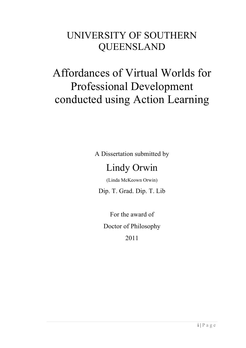# UNIVERSITY OF SOUTHERN QUEENSLAND

# Affordances of Virtual Worlds for Professional Development conducted using Action Learning

A Dissertation submitted by

## Lindy Orwin

(Linda McKeown Orwin)

Dip. T. Grad. Dip. T. Lib

For the award of Doctor of Philosophy 2011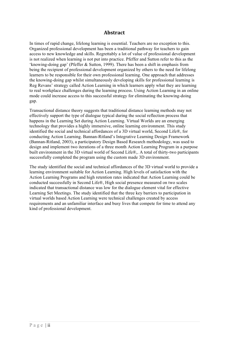#### $A$ **bstract**

In times of rapid change, lifelong learning is essential. Teachers are no exception to this. Organized professional development has been a traditional pathway for teachers to gain access to new knowledge and skills. Regrettably a lot of value of professional development is not realized when learning is not put into practice. Pfeffer and Sutton refer to this as the 'knowing-doing gap' (Pfeffer & Sutton, 1999). There has been a shift in emphasis from being the recipient of professional development organized by others to the need for lifelong learners to be responsible for their own professional learning. One approach that addresses the knowing-doing gap whilst simultaneously developing skills for professional learning is Reg Revans' strategy called Action Learning in which learners apply what they are learning to real workplace challenges during the learning process. Using Action Learning in an online mode could increase access to this successful strategy for eliminating the knowing-doing gap.

Transactional distance theory suggests that traditional distance learning methods may not effectively support the type of dialogue typical during the social reflection process that happens in the Learning Set during Action Learning. Virtual Worlds are an emerging technology that provides a highly immersive, online learning environment. This study identified the social and technical affordances of a 3D virtual world, Second Life®, for conducting Action Learning. Bannan-Ritland's Integrative Learning Design Framework (Bannan-Ritland, 2003), a participatory Design Based Research methodology, was used to design and implement two iterations of a three month Action Learning Program in a purpose built environment in the 3D virtual world of Second Life®,. A total of thirty-two participants successfully completed the program using the custom made 3D environment.

The study identified the social and technical affordances of the 3D virtual world to provide a learning environment suitable for Action Learning. High levels of satisfaction with the Action Learning Programs and high retention rates indicated that Action Learning could be conducted successfully in Second Life®, High social presence measured on two scales indicated that transactional distance was low for the dialogue element vital for effective Learning Set Meetings. The study identified that the three key barriers to participation in virtual worlds based Action Learning were technical challenges created by access requirements and an unfamiliar interface and busy lives that compete for time to attend any kind of professional development.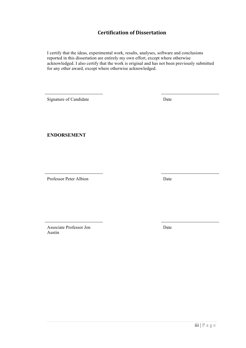#### **Certification of Dissertation**

I certify that the ideas, experimental work, results, analyses, software and conclusions reported in this dissertation are entirely my own effort, except where otherwise acknowledged. I also certify that the work is original and has not been previously submitted for any other award, except where otherwise acknowledged.

Signature of Candidate Date

**ENDORSEMENT**

Professor Peter Albion Date

Associate Professor Jon Austin

Date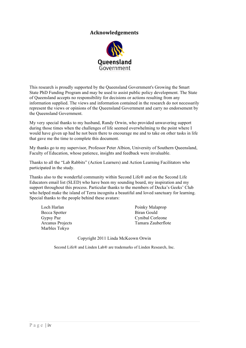#### $\bf Acknowledgements$



This research is proudly supported by the Queensland Government's Growing the Smart State PhD Funding Program and may be used to assist public policy development. The State of Queensland accepts no responsibility for decisions or actions resulting from any information supplied. The views and information contained in the research do not necessarily represent the views or opinions of the Queensland Government and carry no endorsement by the Queensland Government.

My very special thanks to my husband, Randy Orwin, who provided unwavering support during those times when the challenges of life seemed overwhelming to the point where I would have given up had he not been there to encourage me and to take on other tasks in life that gave me the time to complete this document.

My thanks go to my supervisor, Professor Peter Albion, University of Southern Queensland, Faculty of Education, whose patience, insights and feedback were invaluable.

Thanks to all the "Lab Rabbits" (Action Learners) and Action Learning Facilitators who participated in the study.

Thanks also to the wonderful community within Second Life® and on the Second Life Educators email list (SLED) who have been my sounding board, my inspiration and my support throughout this process. Particular thanks to the members of Decka's Geeks' Club who helped make the island of Terra incognita a beautiful and loved sanctuary for learning. Special thanks to the people behind these avatars:

| Loch Harlan      | Poinky Malaprop    |
|------------------|--------------------|
| Becca Spotter    | Biran Gould        |
| Gypsy Paz        | Cynibal Corleone   |
| Arcanus Projects | Tamara Zauberflote |
| Marbles Tokyo    |                    |

Copyright 2011 Linda McKeown Orwin

Second Life® and Linden Lab® are trademarks of Linden Research, Inc.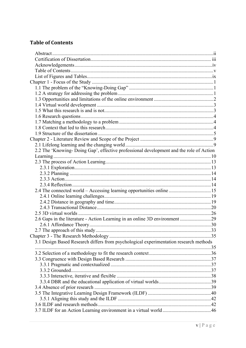### **Table of Contents**

| 2.2 The 'Knowing-Doing Gap', effective professional development and the role of Action<br>2.4 The connected world – Accessing learning opportunities online  15<br>2.6 Gaps in the literature - Action Learning in an online 3D environment 29<br>3.1 Design Based Research differs from psychological experimentation research methods |
|-----------------------------------------------------------------------------------------------------------------------------------------------------------------------------------------------------------------------------------------------------------------------------------------------------------------------------------------|
|                                                                                                                                                                                                                                                                                                                                         |
|                                                                                                                                                                                                                                                                                                                                         |
|                                                                                                                                                                                                                                                                                                                                         |
|                                                                                                                                                                                                                                                                                                                                         |
|                                                                                                                                                                                                                                                                                                                                         |
|                                                                                                                                                                                                                                                                                                                                         |
|                                                                                                                                                                                                                                                                                                                                         |
|                                                                                                                                                                                                                                                                                                                                         |
|                                                                                                                                                                                                                                                                                                                                         |
|                                                                                                                                                                                                                                                                                                                                         |
|                                                                                                                                                                                                                                                                                                                                         |
|                                                                                                                                                                                                                                                                                                                                         |
|                                                                                                                                                                                                                                                                                                                                         |
|                                                                                                                                                                                                                                                                                                                                         |
|                                                                                                                                                                                                                                                                                                                                         |
|                                                                                                                                                                                                                                                                                                                                         |
|                                                                                                                                                                                                                                                                                                                                         |
|                                                                                                                                                                                                                                                                                                                                         |
|                                                                                                                                                                                                                                                                                                                                         |
|                                                                                                                                                                                                                                                                                                                                         |
|                                                                                                                                                                                                                                                                                                                                         |
|                                                                                                                                                                                                                                                                                                                                         |
|                                                                                                                                                                                                                                                                                                                                         |
|                                                                                                                                                                                                                                                                                                                                         |
|                                                                                                                                                                                                                                                                                                                                         |
|                                                                                                                                                                                                                                                                                                                                         |
|                                                                                                                                                                                                                                                                                                                                         |
|                                                                                                                                                                                                                                                                                                                                         |
|                                                                                                                                                                                                                                                                                                                                         |
|                                                                                                                                                                                                                                                                                                                                         |
|                                                                                                                                                                                                                                                                                                                                         |
|                                                                                                                                                                                                                                                                                                                                         |
|                                                                                                                                                                                                                                                                                                                                         |
|                                                                                                                                                                                                                                                                                                                                         |
|                                                                                                                                                                                                                                                                                                                                         |
|                                                                                                                                                                                                                                                                                                                                         |
|                                                                                                                                                                                                                                                                                                                                         |
|                                                                                                                                                                                                                                                                                                                                         |
|                                                                                                                                                                                                                                                                                                                                         |
|                                                                                                                                                                                                                                                                                                                                         |
|                                                                                                                                                                                                                                                                                                                                         |
|                                                                                                                                                                                                                                                                                                                                         |
|                                                                                                                                                                                                                                                                                                                                         |
|                                                                                                                                                                                                                                                                                                                                         |
|                                                                                                                                                                                                                                                                                                                                         |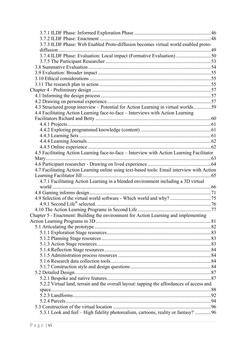| 3.7.3 ILDF Phase: Web Enabled Proto-diffusion becomes virtual world enabled proto-          |  |
|---------------------------------------------------------------------------------------------|--|
|                                                                                             |  |
| 3.7.4 ILDF Phase: Evaluation: Local impact (Formative Evaluation) 50                        |  |
|                                                                                             |  |
|                                                                                             |  |
|                                                                                             |  |
|                                                                                             |  |
|                                                                                             |  |
|                                                                                             |  |
|                                                                                             |  |
|                                                                                             |  |
| 4.3 Structured group interview – Potential for Action Learning in virtual worlds59          |  |
| 4.4 Facilitating Action Learning face-to-face - Interviews with Action Learning             |  |
|                                                                                             |  |
|                                                                                             |  |
|                                                                                             |  |
|                                                                                             |  |
|                                                                                             |  |
|                                                                                             |  |
| 4.5 Facilitating Action Learning face-to-face – Interview with Action Learning Facilitator  |  |
|                                                                                             |  |
|                                                                                             |  |
| 4.7 Facilitating Action Learning online using text-based tools: Email interview with Action |  |
|                                                                                             |  |
| 4.7.1 Facilitating Action Learning in a blended environment including a 3D virtual          |  |
|                                                                                             |  |
|                                                                                             |  |
|                                                                                             |  |
|                                                                                             |  |
|                                                                                             |  |
| Chapter 5 - Enactment: Building the environment for Action Learning and implementing        |  |
|                                                                                             |  |
|                                                                                             |  |
|                                                                                             |  |
|                                                                                             |  |
|                                                                                             |  |
|                                                                                             |  |
|                                                                                             |  |
|                                                                                             |  |
|                                                                                             |  |
|                                                                                             |  |
|                                                                                             |  |
| 5.2.2 Virtual land, terrain and the overall layout: tapping the affordances of access and   |  |
|                                                                                             |  |
|                                                                                             |  |
|                                                                                             |  |
|                                                                                             |  |
| 5.3.1 Look and feel – High fidelity photorealism, cartoons, reality or fantasy? 96          |  |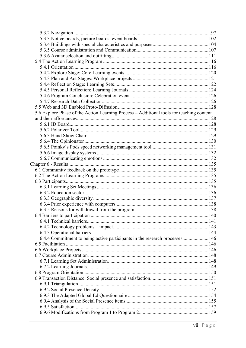| 5.6 Explore Phase of the Action Learning Process - Additional tools for teaching content |  |
|------------------------------------------------------------------------------------------|--|
|                                                                                          |  |
|                                                                                          |  |
|                                                                                          |  |
|                                                                                          |  |
|                                                                                          |  |
|                                                                                          |  |
|                                                                                          |  |
|                                                                                          |  |
|                                                                                          |  |
|                                                                                          |  |
|                                                                                          |  |
|                                                                                          |  |
|                                                                                          |  |
|                                                                                          |  |
|                                                                                          |  |
|                                                                                          |  |
|                                                                                          |  |
|                                                                                          |  |
|                                                                                          |  |
|                                                                                          |  |
|                                                                                          |  |
| 6.4.4 Commitment to being active participants in the research processes 146              |  |
|                                                                                          |  |
|                                                                                          |  |
|                                                                                          |  |
|                                                                                          |  |
|                                                                                          |  |
|                                                                                          |  |
|                                                                                          |  |
|                                                                                          |  |
|                                                                                          |  |
|                                                                                          |  |
|                                                                                          |  |
|                                                                                          |  |
|                                                                                          |  |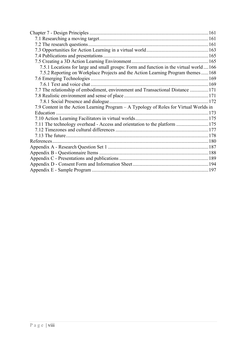| 7.5.1 Locations for large and small groups: Form and function in the virtual world166  |  |
|----------------------------------------------------------------------------------------|--|
| 7.5.2 Reporting on Workplace Projects and the Action Learning Program themes168        |  |
|                                                                                        |  |
|                                                                                        |  |
| 7.7 The relationship of embodiment, environment and Transactional Distance 171         |  |
|                                                                                        |  |
|                                                                                        |  |
| 7.9 Content in the Action Learning Program – A Typology of Roles for Virtual Worlds in |  |
|                                                                                        |  |
|                                                                                        |  |
| 7.11 The technology overhead - Access and orientation to the platform  175             |  |
|                                                                                        |  |
|                                                                                        |  |
|                                                                                        |  |
|                                                                                        |  |
|                                                                                        |  |
|                                                                                        |  |
|                                                                                        |  |
|                                                                                        |  |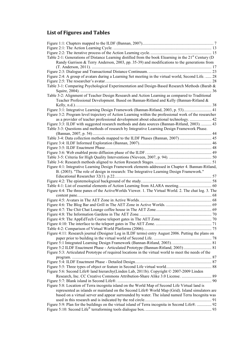## **List of Figures and Tables**

| Table 2-1: Generations of Distance Learning distilled from the book Elearning in the $21st$ Century (D) |  |
|---------------------------------------------------------------------------------------------------------|--|
| Randy Garrison & Terry Anderson, 2003, pp. 35-39) and modifications to the generations from             |  |
|                                                                                                         |  |
|                                                                                                         |  |
| Figure 2:4: A group of avatars during a Learning Set meeting in the virtual world, Second Life.  28     |  |
|                                                                                                         |  |
| Table 3-1: Comparing Psychological Experimentation and Design-Based Research Methods (Barab &           |  |
|                                                                                                         |  |
| Table 3-2: Alignment of Teacher Design Research and Action Learning as compared to Traditional          |  |
| Teacher Professional Development. Based on Bannan-Ritland and Kelly (Bannan-Ritland &                   |  |
|                                                                                                         |  |
| Figure 3:1: Integrative Learning Design Framework (Bannan-Ritland, 2003, p. 53) 41                      |  |
| Figure 3:2: Program level trajectory of Action Learning within the professional work of the researcher  |  |
| as a provider of teacher professional development about educational technology.  42                     |  |
| Figure 3:3: ILDF with suggested research methods and data sources (Bannan-Ritland, 2003).  43           |  |
| Table 3-3: Questions and methods of research by Integrative Learning Design Framework Phase.            |  |
|                                                                                                         |  |
|                                                                                                         |  |
|                                                                                                         |  |
|                                                                                                         |  |
|                                                                                                         |  |
|                                                                                                         |  |
|                                                                                                         |  |
| Figure 4:1: Integrative Learning Design Framework elements addressed in Chapter 4. Bannan-Ritland,      |  |
| B. (2003). "The role of design in research: The Integrative Learning Design Framework."                 |  |
|                                                                                                         |  |
|                                                                                                         |  |
|                                                                                                         |  |
| Figure 4:4: The three panes of the ActiveWorlds Viewer. 1. The Virtual World. 2. The chat log. 3. The   |  |
|                                                                                                         |  |
|                                                                                                         |  |
|                                                                                                         |  |
|                                                                                                         |  |
|                                                                                                         |  |
|                                                                                                         |  |
|                                                                                                         |  |
|                                                                                                         |  |
| Figure 4:11: Research journal (Designer Log in ILDF terms) entry August 2006. Putting the plans on      |  |
|                                                                                                         |  |
|                                                                                                         |  |
| Figure 5:2 ILDF Enactment Phase - Articulated Prototype (Bannan-Ritland, 2003)  81                      |  |
| Figure 5:3: Articulated Prototype of required locations in the virtual world to meet the needs of the   |  |
|                                                                                                         |  |
|                                                                                                         |  |
|                                                                                                         |  |
| Figure 5:6: Second Life® land hierarchy(Linden Lab, 2011b). Copyright © 2007-2009 Linden                |  |
|                                                                                                         |  |
|                                                                                                         |  |
| Figure 5:8: Location of Terra incognita island on the World Map of Second Life Virtual land is          |  |
| represented as islands or mainland on the Second Life® World Map (Grid). Island simulators are          |  |
| based on a virtual server and appear surrounded by water. The island named Terra Incognita was          |  |
|                                                                                                         |  |
| Figure 5:9: Plan for the buildings on the virtual island of Terra incognita in Second Life®.  92        |  |
|                                                                                                         |  |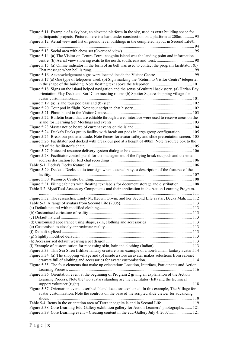| Figure 5:11: Example of a sky box, an elevated platform in the sky, used as extra building space for<br>participants' projects. Pictured here is a barn under construction on a platform at 200m 93<br>Figure 5:12: Aerial view and list of ground level buildings in the completed layout in Second Life®. |  |
|-------------------------------------------------------------------------------------------------------------------------------------------------------------------------------------------------------------------------------------------------------------------------------------------------------------|--|
|                                                                                                                                                                                                                                                                                                             |  |
| Figure 5:14: (a) The Visitor on Centre Terra incognita island was the landing point and information                                                                                                                                                                                                         |  |
| Figure 5:15: (a) Online indicator in the form of an bell was used to contact the program facilitator. (b)                                                                                                                                                                                                   |  |
|                                                                                                                                                                                                                                                                                                             |  |
| Figure 5:17 (a) One type of teleporter used. (b) Sign marking the "Return to Visitor Centre" teleporter                                                                                                                                                                                                     |  |
| Figure 5:18: Signs on the island helped navigation and the sense of cultural back story. (a) Harlan Bay                                                                                                                                                                                                     |  |
| orientation Play Deck and Surf Club meeting rooms (b) Spotter Square shopping village for                                                                                                                                                                                                                   |  |
|                                                                                                                                                                                                                                                                                                             |  |
|                                                                                                                                                                                                                                                                                                             |  |
|                                                                                                                                                                                                                                                                                                             |  |
| Figure 5:22: Bulletin board that are editable through a web interface were used to reserve areas on the                                                                                                                                                                                                     |  |
|                                                                                                                                                                                                                                                                                                             |  |
| Figure 5:24: Decka's Decks group facility with break out pods in large group configuration.  105                                                                                                                                                                                                            |  |
| Figure 5:25: Break our pod at altitude. Note fences for avatar safety and slide presentation screen. 105                                                                                                                                                                                                    |  |
| Figure 5:26: Facilitator pod docked with break our pod at a height of 400m. Note resource box to the                                                                                                                                                                                                        |  |
|                                                                                                                                                                                                                                                                                                             |  |
| Figure 5:28: Facilitator control panel for the management of the flying break out pods and the email                                                                                                                                                                                                        |  |
|                                                                                                                                                                                                                                                                                                             |  |
|                                                                                                                                                                                                                                                                                                             |  |
| Figure 5:29: Decka's Decks audio tour sign when touched plays a description of the features of the                                                                                                                                                                                                          |  |
|                                                                                                                                                                                                                                                                                                             |  |
|                                                                                                                                                                                                                                                                                                             |  |
| Figure 5:31: Filing cabinets with floating text labels for document storage and distribution.  108                                                                                                                                                                                                          |  |
| Table 5-2: MystiTool Accessory Components and their application in the Action Learning Program.                                                                                                                                                                                                             |  |
| Figure 5:32: The researcher, Lindy McKeown Orwin, and her Second Life avatar, Decka Mah.  112                                                                                                                                                                                                               |  |
|                                                                                                                                                                                                                                                                                                             |  |
|                                                                                                                                                                                                                                                                                                             |  |
|                                                                                                                                                                                                                                                                                                             |  |
|                                                                                                                                                                                                                                                                                                             |  |
|                                                                                                                                                                                                                                                                                                             |  |
|                                                                                                                                                                                                                                                                                                             |  |
|                                                                                                                                                                                                                                                                                                             |  |
|                                                                                                                                                                                                                                                                                                             |  |
|                                                                                                                                                                                                                                                                                                             |  |
| Figure 5:33: This Sea Siren fishlike fantasy creature is an example of a non-human, fantasy avatar.114                                                                                                                                                                                                      |  |
| Figure 5:34: (a) The shopping village and (b) inside a store an avatar makes selections from cabinet                                                                                                                                                                                                        |  |
|                                                                                                                                                                                                                                                                                                             |  |
| Figure 5:35: The four elements that make up orientation: Location, Interface, Participants and Action                                                                                                                                                                                                       |  |
| Figure 5:36: Orientation event at the beginning of Program 2 giving an explanation of the Action<br>Learning Process. Note the two avatars standing are the Facilitator (left) and the technical                                                                                                            |  |
| Figure 5:37: Orientation event described Island locations explained. In this example, The Village for                                                                                                                                                                                                       |  |
| avatar customization. Note the controls on the base of the scripted slide viewer for advancing                                                                                                                                                                                                              |  |
|                                                                                                                                                                                                                                                                                                             |  |
| Figure 5:38: Core Learning Edu-Gallery exhibition gallery for Action Learners' photographs.  121                                                                                                                                                                                                            |  |
| Figure 5:39: Core Learning event – Creating content in the edu-Gallery July 4, 2007 121                                                                                                                                                                                                                     |  |